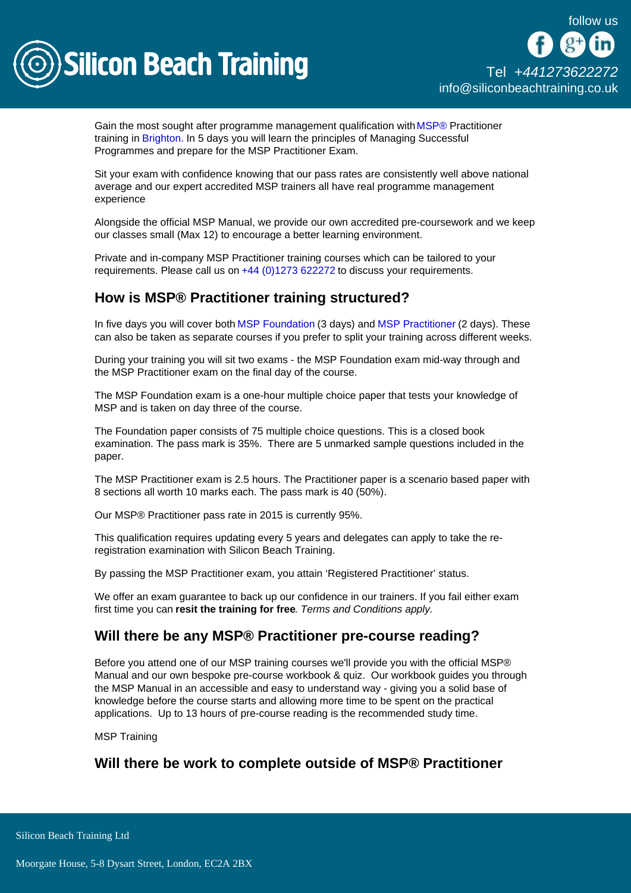

Gain the most sought after programme management qualification with [MSP®](/msp-training) Practitioner training in [Brighton.](/brighton-courses) In 5 days you will learn the principles of Managing Successful Programmes and prepare for the MSP Practitioner Exam.

Sit your exam with confidence knowing that our pass rates are consistently well above national average and our expert accredited MSP trainers all have real programme management experience

Alongside the official MSP Manual, we provide our own accredited pre-coursework and we keep our classes small (Max 12) to encourage a better learning environment.

Private and in-company MSP Practitioner training courses which can be tailored to your requirements. Please call us on [+44 \(0\)1273 622272](tel:441273622272) to discuss your requirements.

## How is MSP® Practitioner training structured?

In five days you will cover both [MSP Foundation](/msp-training/msp-foundation) (3 days) and [MSP Practitioner](/msp-training/msp-practitioner-conversion-training) (2 days). These can also be taken as separate courses if you prefer to split your training across different weeks.

During your training you will sit two exams - the MSP Foundation exam mid-way through and the MSP Practitioner exam on the final day of the course.

The MSP Foundation exam is a one-hour multiple choice paper that tests your knowledge of MSP and is taken on day three of the course.

The Foundation paper consists of 75 multiple choice questions. This is a closed book examination. The pass mark is 35%. There are 5 unmarked sample questions included in the paper.

The MSP Practitioner exam is 2.5 hours. The Practitioner paper is a scenario based paper with 8 sections all worth 10 marks each. The pass mark is 40 (50%).

Our MSP® Practitioner pass rate in 2015 is currently 95%.

This qualification requires updating every 5 years and delegates can apply to take the reregistration examination with Silicon Beach Training.

By passing the MSP Practitioner exam, you attain 'Registered Practitioner' status.

We offer an exam guarantee to back up our confidence in our trainers. If you fail either exam first time you can resit the training for free . Terms and Conditions apply.

## Will there be any MSP® Practitioner pre-course reading?

Before you attend one of our MSP training courses we'll provide you with the official MSP® Manual and our own bespoke pre-course workbook & quiz. Our workbook guides you through the MSP Manual in an accessible and easy to understand way - giving you a solid base of knowledge before the course starts and allowing more time to be spent on the practical applications. Up to 13 hours of pre-course reading is the recommended study time.

MSP Training

Will there be work to complete outside of MSP® Practitioner

Silicon Beach Training Ltd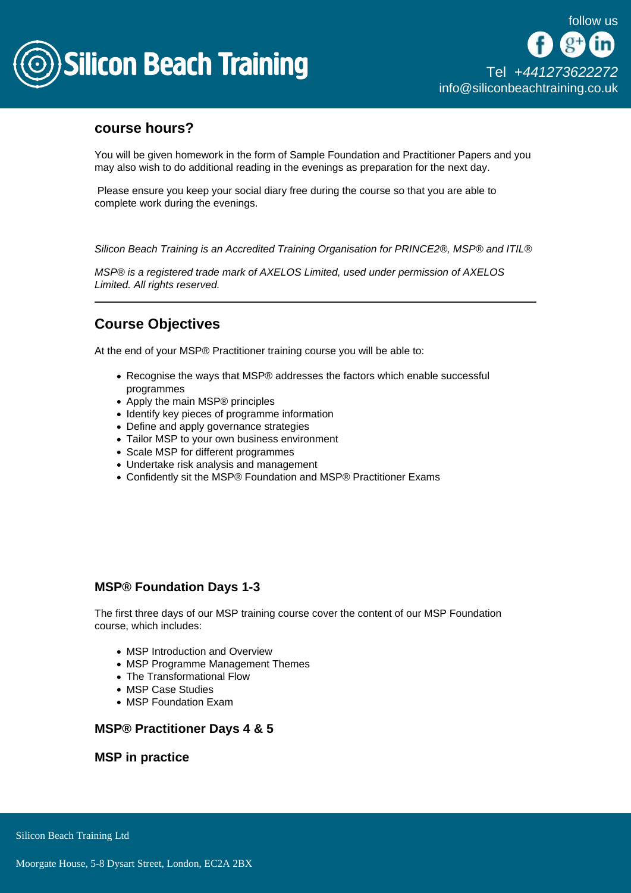

## course hours?

You will be given homework in the form of Sample Foundation and Practitioner Papers and you may also wish to do additional reading in the evenings as preparation for the next day.

 Please ensure you keep your social diary free during the course so that you are able to complete work during the evenings.

Silicon Beach Training is an Accredited Training Organisation for PRINCE2®, MSP® and ITIL®

MSP® is a registered trade mark of AXELOS Limited, used under permission of AXELOS Limited. All rights reserved.

# Course Objectives

At the end of your MSP® Practitioner training course you will be able to:

- Recognise the ways that MSP® addresses the factors which enable successful programmes
- Apply the main MSP® principles
- Identify key pieces of programme information
- Define and apply governance strategies
- Tailor MSP to your own business environment
- Scale MSP for different programmes
- Undertake risk analysis and management
- Confidently sit the MSP® Foundation and MSP® Practitioner Exams

### MSP® Foundation Days 1-3

The first three days of our MSP training course cover the content of our MSP Foundation course, which includes:

- MSP Introduction and Overview
- MSP Programme Management Themes
- The Transformational Flow
- MSP Case Studies
- MSP Foundation Exam

MSP® Practitioner Days 4 & 5

MSP in practice

Silicon Beach Training Ltd